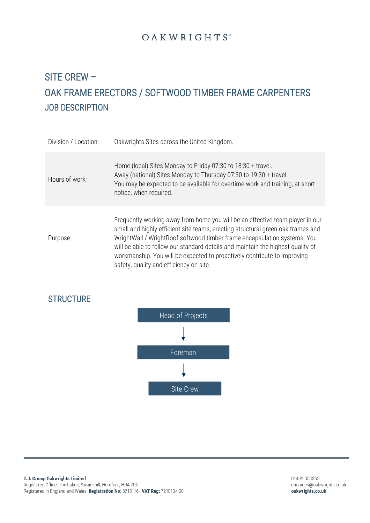# SITE CREW – OAK FRAME ERECTORS / SOFTWOOD TIMBER FRAME CARPENTERS JOB DESCRIPTION

| Division / Location: | Oakwrights Sites across the United Kingdom.                                                                                                                                                                                                                                                                                                                                                                                                            |
|----------------------|--------------------------------------------------------------------------------------------------------------------------------------------------------------------------------------------------------------------------------------------------------------------------------------------------------------------------------------------------------------------------------------------------------------------------------------------------------|
| Hours of work:       | Home (local) Sites Monday to Friday 07:30 to 18:30 + travel.<br>Away (national) Sites Monday to Thursday 07:30 to 19:30 + travel.<br>You may be expected to be available for overtime work and training, at short<br>notice, when required.                                                                                                                                                                                                            |
| Purpose:             | Frequently working away from home you will be an effective team player in our<br>small and highly efficient site teams; erecting structural green oak frames and<br>WrightWall / WrightRoof softwood timber frame encapsulation systems. You<br>will be able to follow our standard details and maintain the highest quality of<br>workmanship. You will be expected to proactively contribute to improving<br>safety, quality and efficiency on site. |



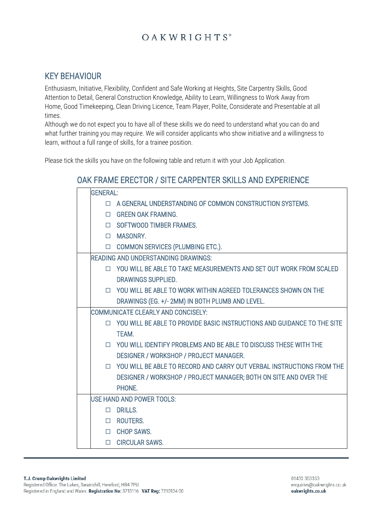### KEY BEHAVIOUR

Enthusiasm, Initiative, Flexibility, Confident and Safe Working at Heights, Site Carpentry Skills, Good Attention to Detail, General Construction Knowledge, Ability to Learn, Willingness to Work Away from Home, Good Timekeeping, Clean Driving Licence, Team Player, Polite, Considerate and Presentable at all times.

Although we do not expect you to have all of these skills we do need to understand what you can do and what further training you may require. We will consider applicants who show initiative and a willingness to learn, without a full range of skills, for a trainee position.

Please tick the skills you have on the following table and return it with your Job Application.

### OAK FRAME ERECTOR / SITE CARPENTER SKILLS AND EXPERIENCE

| <b>GENERAL:</b>                            |                                                                                |  |
|--------------------------------------------|--------------------------------------------------------------------------------|--|
|                                            | A GENERAL UNDERSTANDING OF COMMON CONSTRUCTION SYSTEMS.                        |  |
| П                                          | <b>GREEN OAK FRAMING.</b>                                                      |  |
|                                            | □ SOFTWOOD TIMBER FRAMES.                                                      |  |
|                                            | <b>INASONRY.</b>                                                               |  |
|                                            | COMMON SERVICES (PLUMBING ETC.).                                               |  |
| <b>READING AND UNDERSTANDING DRAWINGS:</b> |                                                                                |  |
|                                            | □ YOU WILL BE ABLE TO TAKE MEASUREMENTS AND SET OUT WORK FROM SCALED           |  |
|                                            | DRAWINGS SUPPLIED.                                                             |  |
|                                            | □ YOU WILL BE ABLE TO WORK WITHIN AGREED TOLERANCES SHOWN ON THE               |  |
|                                            | DRAWINGS (EG. +/- 2MM) IN BOTH PLUMB AND LEVEL.                                |  |
| COMMUNICATE CLEARLY AND CONCISELY:         |                                                                                |  |
|                                            | $\Box$ YOU WILL BE ABLE TO PROVIDE BASIC INSTRUCTIONS AND GUIDANCE TO THE SITE |  |
|                                            | TEAM.                                                                          |  |
|                                            | □ YOU WILL IDENTIFY PROBLEMS AND BE ABLE TO DISCUSS THESE WITH THE             |  |
|                                            | DESIGNER / WORKSHOP / PROJECT MANAGER.                                         |  |
|                                            | $\Box$ YOU WILL BE ABLE TO RECORD AND CARRY OUT VERBAL INSTRUCTIONS FROM THE   |  |
|                                            | DESIGNER / WORKSHOP / PROJECT MANAGER; BOTH ON SITE AND OVER THE               |  |
|                                            | PHONE.                                                                         |  |
| <b>USE HAND AND POWER TOOLS:</b>           |                                                                                |  |
|                                            | $\Box$ DRILLS.                                                                 |  |
|                                            | □ ROUTERS.                                                                     |  |
|                                            | □ CHOP SAWS.                                                                   |  |
|                                            | <b>CIRCULAR SAWS.</b>                                                          |  |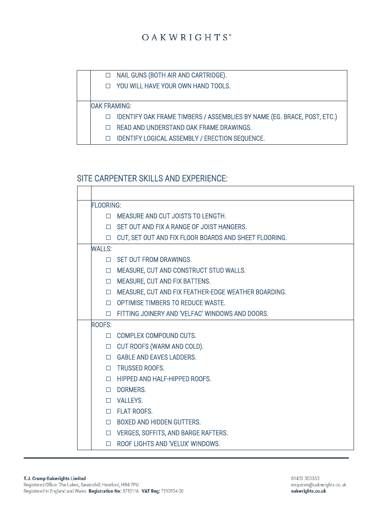

### SITE CARPENTER SKILLS AND EXPERIENCE:

 $\Gamma$  $\overline{\phantom{a}}$ 

| <b>FLOORING:</b> |                                                       |  |
|------------------|-------------------------------------------------------|--|
| П.               | MEASURE AND CUT JOISTS TO LENGTH.                     |  |
|                  | <b>IN SET OUT AND FIX A RANGE OF JOIST HANGERS.</b>   |  |
| $\Box$           | CUT, SET OUT AND FIX FLOOR BOARDS AND SHEET FLOORING. |  |
| <b>WALLS:</b>    |                                                       |  |
|                  | $\Box$ SET OUT FROM DRAWINGS.                         |  |
|                  | IN MEASURE, CUT AND CONSTRUCT STUD WALLS.             |  |
| $\Box$           | MEASURE, CUT AND FIX BATTENS.                         |  |
| $\Box$           | MEASURE, CUT AND FIX FEATHER-EDGE WEATHER BOARDING.   |  |
|                  | <b>D</b> OPTIMISE TIMBERS TO REDUCE WASTE.            |  |
|                  | □ FITTING JOINERY AND 'VELFAC' WINDOWS AND DOORS.     |  |
| ROOFS:           |                                                       |  |
|                  | COMPLEX COMPOUND CUTS.                                |  |
|                  | □ CUT ROOFS (WARM AND COLD).                          |  |
|                  | <b>CONTAINABLE AND EAVES LADDERS.</b>                 |  |
|                  | <b>INCOCO TRUSSED ROOFS.</b>                          |  |
|                  | HIPPED AND HALF-HIPPED ROOFS.                         |  |
| $\Box$           | DORMERS.                                              |  |
|                  | D VALLEYS.                                            |  |
|                  | <b>ID FLAT ROOFS.</b>                                 |  |
|                  | <b>D</b> BOXED AND HIDDEN GUTTERS.                    |  |
|                  | D VERGES, SOFFITS, AND BARGE RAFTERS.                 |  |
| $\Box$           | ROOF LIGHTS AND 'VELUX' WINDOWS.                      |  |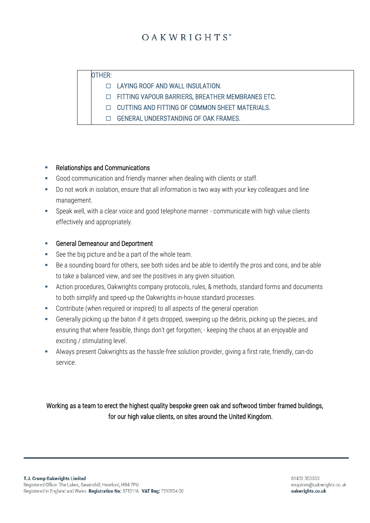#### OTHER:

LAYING ROOF AND WALL INSULATION.

FITTING VAPOUR BARRIERS, BREATHER MEMBRANES ETC.

- CUTTING AND FITTING OF COMMON SHEET MATERIALS.
- C GENERAL UNDERSTANDING OF OAK FRAMES.

#### **Relationships and Communications**

- Good communication and friendly manner when dealing with clients or staff.
- Do not work in isolation, ensure that all information is two way with your key colleagues and line management.
- Speak well, with a clear voice and good telephone manner communicate with high value clients effectively and appropriately.

#### ■ General Demeanour and Deportment

- See the big picture and be a part of the whole team.
- Be a sounding board for others, see both sides and be able to identify the pros and cons, and be able to take a balanced view, and see the positives in any given situation.
- Action procedures, Oakwrights company protocols, rules, & methods, standard forms and documents to both simplify and speed-up the Oakwrights in-house standard processes.
- Contribute (when required or inspired) to all aspects of the general operation
- Generally picking up the baton if it gets dropped, sweeping up the debris, picking up the pieces, and ensuring that where feasible, things don't get forgotten; - keeping the chaos at an enjoyable and exciting / stimulating level.
- **EXECT** Always present Oakwrights as the hassle-free solution provider, giving a first rate, friendly, can-do service.

#### Working as a team to erect the highest quality bespoke green oak and softwood timber framed buildings, for our high value clients, on sites around the United Kingdom.